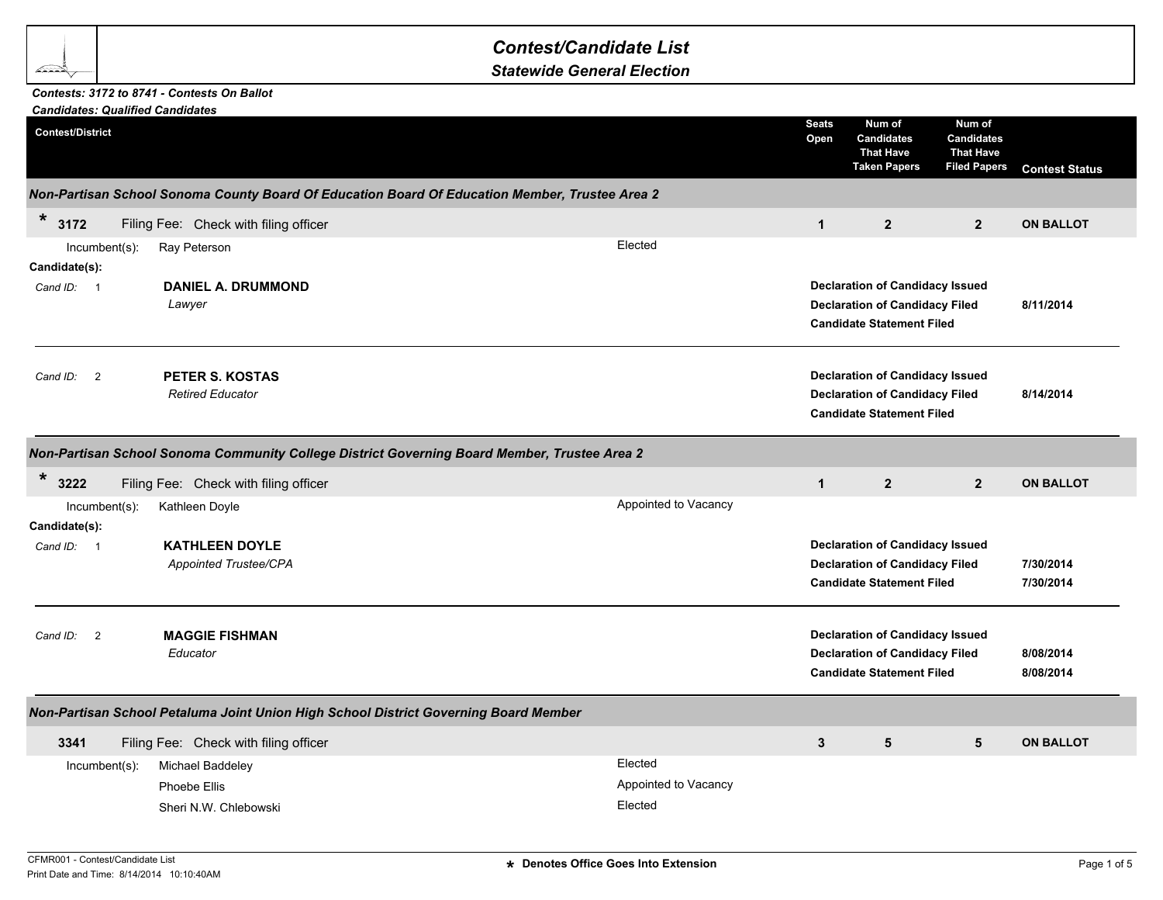## *Contest/Candidate List*

*Statewide General Election*

## *Candidates: Qualified Candidates Contests: 3172 to 8741 - Contests On Ballot*

| Candidates: Qualified Candidates     |                                            |                                                                                                |                      |                      |                                                                                                                     |                                                                        |                        |
|--------------------------------------|--------------------------------------------|------------------------------------------------------------------------------------------------|----------------------|----------------------|---------------------------------------------------------------------------------------------------------------------|------------------------------------------------------------------------|------------------------|
| <b>Contest/District</b>              |                                            |                                                                                                |                      | <b>Seats</b><br>Open | Num of<br><b>Candidates</b><br><b>That Have</b><br><b>Taken Papers</b>                                              | Num of<br><b>Candidates</b><br><b>That Have</b><br><b>Filed Papers</b> | <b>Contest Status</b>  |
|                                      |                                            | Non-Partisan School Sonoma County Board Of Education Board Of Education Member, Trustee Area 2 |                      |                      |                                                                                                                     |                                                                        |                        |
| $\star$<br>3172                      | Filing Fee: Check with filing officer      |                                                                                                |                      | $\mathbf{1}$         | $\overline{2}$                                                                                                      | $\overline{2}$                                                         | <b>ON BALLOT</b>       |
| Incumbent(s):                        | Ray Peterson                               |                                                                                                | Elected              |                      |                                                                                                                     |                                                                        |                        |
| Candidate(s):                        |                                            |                                                                                                |                      |                      |                                                                                                                     |                                                                        |                        |
| Cand ID: 1                           | <b>DANIEL A. DRUMMOND</b><br>Lawyer        |                                                                                                |                      |                      | <b>Declaration of Candidacy Issued</b><br><b>Declaration of Candidacy Filed</b><br><b>Candidate Statement Filed</b> |                                                                        | 8/11/2014              |
| Cand ID:<br>$\overline{2}$           | PETER S. KOSTAS<br><b>Retired Educator</b> |                                                                                                |                      |                      | <b>Declaration of Candidacy Issued</b><br><b>Declaration of Candidacy Filed</b><br><b>Candidate Statement Filed</b> |                                                                        | 8/14/2014              |
|                                      |                                            | Non-Partisan School Sonoma Community College District Governing Board Member, Trustee Area 2   |                      |                      |                                                                                                                     |                                                                        |                        |
| $\star$<br>3222                      | Filing Fee: Check with filing officer      |                                                                                                |                      | $\mathbf{1}$         | $\overline{2}$                                                                                                      | $\overline{2}$                                                         | <b>ON BALLOT</b>       |
| $Incumbent(s)$ :<br>Candidate(s):    | Kathleen Doyle                             |                                                                                                | Appointed to Vacancy |                      |                                                                                                                     |                                                                        |                        |
| Cand ID:<br>$\overline{\phantom{0}}$ | <b>KATHLEEN DOYLE</b>                      |                                                                                                |                      |                      | <b>Declaration of Candidacy Issued</b>                                                                              |                                                                        |                        |
|                                      | Appointed Trustee/CPA                      |                                                                                                |                      |                      | <b>Declaration of Candidacy Filed</b><br><b>Candidate Statement Filed</b>                                           |                                                                        | 7/30/2014<br>7/30/2014 |
| Cand ID: 2                           | <b>MAGGIE FISHMAN</b><br>Educator          |                                                                                                |                      |                      | <b>Declaration of Candidacy Issued</b><br><b>Declaration of Candidacy Filed</b><br><b>Candidate Statement Filed</b> |                                                                        | 8/08/2014<br>8/08/2014 |
|                                      |                                            | Non-Partisan School Petaluma Joint Union High School District Governing Board Member           |                      |                      |                                                                                                                     |                                                                        |                        |
| 3341                                 | Filing Fee: Check with filing officer      |                                                                                                |                      | $\mathbf{3}$         | $5\phantom{.0}$                                                                                                     | $5\phantom{1}$                                                         | <b>ON BALLOT</b>       |
| Incumbent(s):                        | Michael Baddeley                           |                                                                                                | Elected              |                      |                                                                                                                     |                                                                        |                        |
|                                      | Phoebe Ellis                               |                                                                                                | Appointed to Vacancy |                      |                                                                                                                     |                                                                        |                        |
|                                      | Sheri N.W. Chlebowski                      |                                                                                                | Elected              |                      |                                                                                                                     |                                                                        |                        |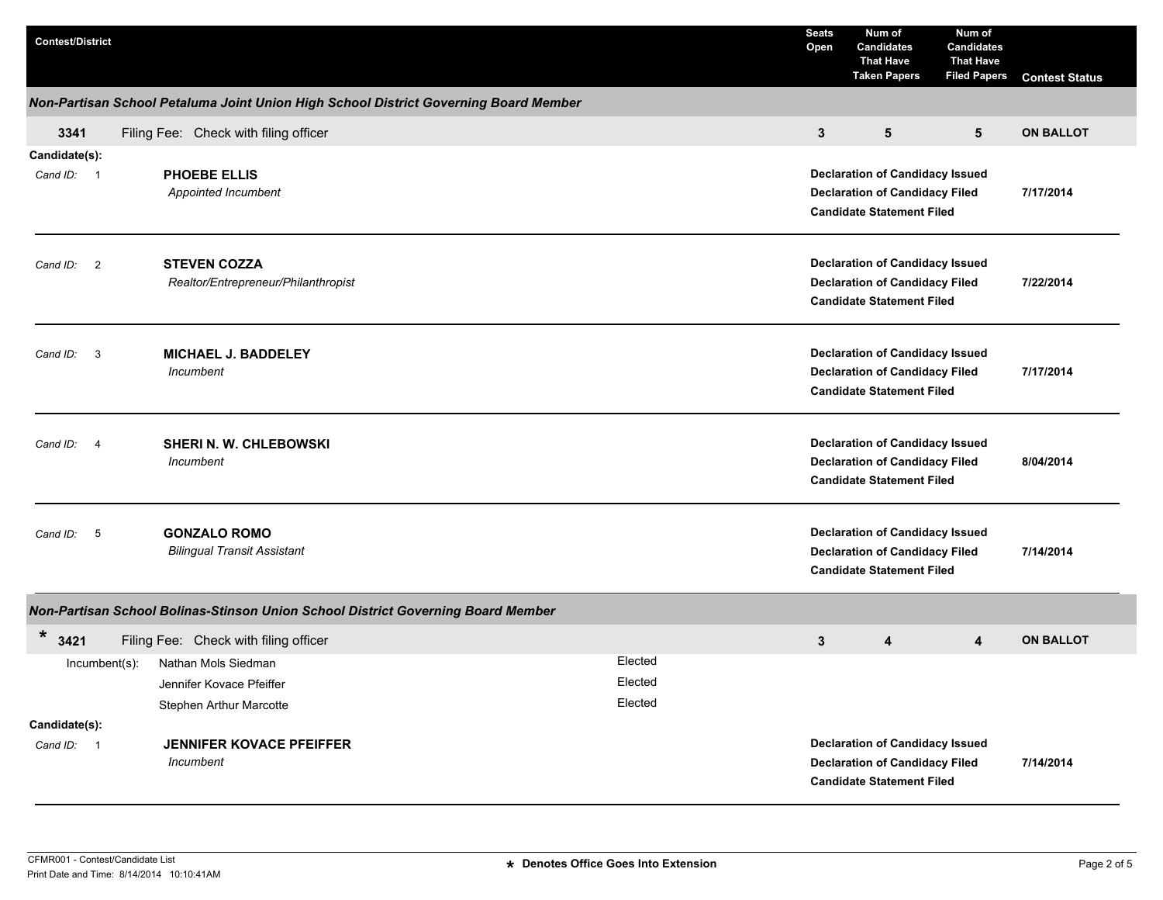| <b>Contest/District</b>             |                                                                                      |                               | <b>Seats</b><br>Open                                                                                                | Num of<br><b>Candidates</b><br><b>That Have</b><br><b>Taken Papers</b>                                              | Num of<br><b>Candidates</b><br><b>That Have</b><br><b>Filed Papers</b> | <b>Contest Status</b> |
|-------------------------------------|--------------------------------------------------------------------------------------|-------------------------------|---------------------------------------------------------------------------------------------------------------------|---------------------------------------------------------------------------------------------------------------------|------------------------------------------------------------------------|-----------------------|
|                                     | Non-Partisan School Petaluma Joint Union High School District Governing Board Member |                               |                                                                                                                     |                                                                                                                     |                                                                        |                       |
| 3341                                | Filing Fee: Check with filing officer                                                |                               | 3                                                                                                                   | 5                                                                                                                   | $5\phantom{.0}$                                                        | <b>ON BALLOT</b>      |
| Candidate(s):<br>Cand ID: 1         | PHOEBE ELLIS<br>Appointed Incumbent                                                  |                               |                                                                                                                     | <b>Declaration of Candidacy Issued</b><br><b>Declaration of Candidacy Filed</b><br><b>Candidate Statement Filed</b> |                                                                        | 7/17/2014             |
| Cand ID: 2                          | <b>STEVEN COZZA</b><br>Realtor/Entrepreneur/Philanthropist                           |                               | <b>Declaration of Candidacy Issued</b><br><b>Declaration of Candidacy Filed</b><br><b>Candidate Statement Filed</b> |                                                                                                                     | 7/22/2014                                                              |                       |
| $\overline{\mathbf{3}}$<br>Cand ID: | <b>MICHAEL J. BADDELEY</b><br>Incumbent                                              |                               |                                                                                                                     | <b>Declaration of Candidacy Issued</b><br><b>Declaration of Candidacy Filed</b><br><b>Candidate Statement Filed</b> |                                                                        | 7/17/2014             |
| Cand ID:<br>- 4                     | SHERI N. W. CHLEBOWSKI<br>Incumbent                                                  |                               |                                                                                                                     | <b>Declaration of Candidacy Issued</b><br><b>Declaration of Candidacy Filed</b><br><b>Candidate Statement Filed</b> |                                                                        | 8/04/2014             |
| Cand ID:<br>5                       | <b>GONZALO ROMO</b><br><b>Bilingual Transit Assistant</b>                            |                               |                                                                                                                     | <b>Declaration of Candidacy Issued</b><br><b>Declaration of Candidacy Filed</b><br><b>Candidate Statement Filed</b> |                                                                        | 7/14/2014             |
|                                     | Non-Partisan School Bolinas-Stinson Union School District Governing Board Member     |                               |                                                                                                                     |                                                                                                                     |                                                                        |                       |
| *<br>3421                           | Filing Fee: Check with filing officer                                                |                               | $\mathbf{3}$                                                                                                        | 4                                                                                                                   | 4                                                                      | <b>ON BALLOT</b>      |
| $Incumbent(s)$ :                    | Nathan Mols Siedman<br>Jennifer Kovace Pfeiffer<br><b>Stephen Arthur Marcotte</b>    | Elected<br>Elected<br>Elected |                                                                                                                     |                                                                                                                     |                                                                        |                       |
| Candidate(s):<br>Cand ID: 1         | <b>JENNIFER KOVACE PFEIFFER</b><br>Incumbent                                         |                               |                                                                                                                     | <b>Declaration of Candidacy Issued</b><br><b>Declaration of Candidacy Filed</b><br><b>Candidate Statement Filed</b> |                                                                        | 7/14/2014             |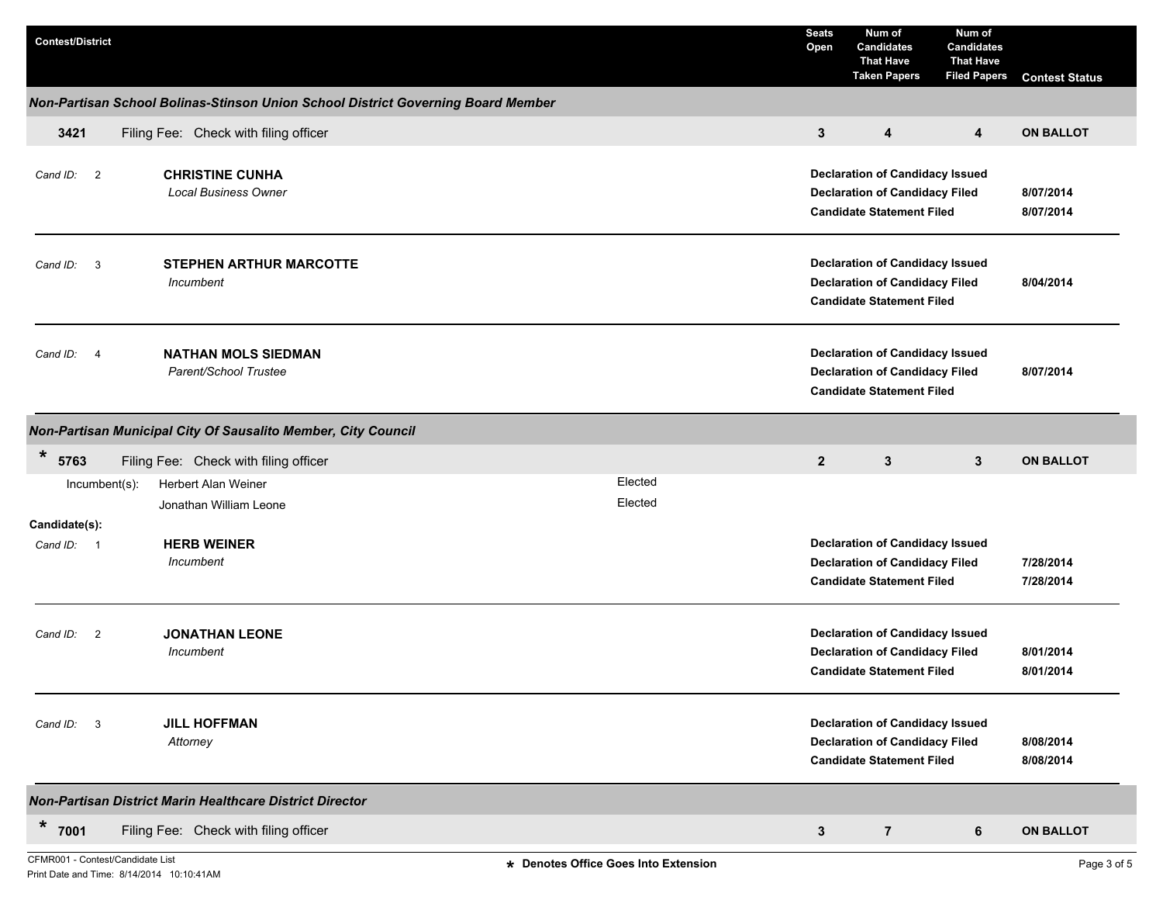| <b>Contest/District</b> |                                                                                  |         | <b>Seats</b><br>Open | Num of<br><b>Candidates</b><br><b>That Have</b><br><b>Taken Papers</b>                                              | Num of<br><b>Candidates</b><br><b>That Have</b><br><b>Filed Papers</b> | <b>Contest Status</b>  |
|-------------------------|----------------------------------------------------------------------------------|---------|----------------------|---------------------------------------------------------------------------------------------------------------------|------------------------------------------------------------------------|------------------------|
|                         | Non-Partisan School Bolinas-Stinson Union School District Governing Board Member |         |                      |                                                                                                                     |                                                                        |                        |
| 3421                    | Filing Fee: Check with filing officer                                            |         | 3                    | 4                                                                                                                   | 4                                                                      | <b>ON BALLOT</b>       |
| Cand ID: 2              | <b>CHRISTINE CUNHA</b><br><b>Local Business Owner</b>                            |         |                      | <b>Declaration of Candidacy Issued</b><br><b>Declaration of Candidacy Filed</b><br><b>Candidate Statement Filed</b> |                                                                        | 8/07/2014<br>8/07/2014 |
| Cand ID: 3              | <b>STEPHEN ARTHUR MARCOTTE</b><br>Incumbent                                      |         |                      | <b>Declaration of Candidacy Issued</b><br><b>Declaration of Candidacy Filed</b><br><b>Candidate Statement Filed</b> |                                                                        | 8/04/2014              |
| Cand ID: 4              | <b>NATHAN MOLS SIEDMAN</b><br>Parent/School Trustee                              |         |                      | <b>Declaration of Candidacy Issued</b><br><b>Declaration of Candidacy Filed</b><br><b>Candidate Statement Filed</b> |                                                                        | 8/07/2014              |
|                         | Non-Partisan Municipal City Of Sausalito Member, City Council                    |         |                      |                                                                                                                     |                                                                        |                        |
| $\ast$<br>5763          | Filing Fee: Check with filing officer                                            |         | $\overline{2}$       | $\mathbf{3}$                                                                                                        | $\mathbf{3}$                                                           | <b>ON BALLOT</b>       |
| Incumbent(s):           | Herbert Alan Weiner                                                              | Elected |                      |                                                                                                                     |                                                                        |                        |
|                         | Jonathan William Leone                                                           | Elected |                      |                                                                                                                     |                                                                        |                        |
| Candidate(s):           |                                                                                  |         |                      |                                                                                                                     |                                                                        |                        |
| Cand ID: 1              | <b>HERB WEINER</b><br>Incumbent                                                  |         |                      | <b>Declaration of Candidacy Issued</b><br><b>Declaration of Candidacy Filed</b>                                     |                                                                        | 7/28/2014              |
|                         |                                                                                  |         |                      | <b>Candidate Statement Filed</b>                                                                                    |                                                                        | 7/28/2014              |
| Cand ID: 2              | <b>JONATHAN LEONE</b><br>Incumbent                                               |         |                      | <b>Declaration of Candidacy Issued</b><br><b>Declaration of Candidacy Filed</b><br><b>Candidate Statement Filed</b> |                                                                        | 8/01/2014<br>8/01/2014 |
| Cand ID: 3              | <b>JILL HOFFMAN</b><br>Attorney                                                  |         |                      | <b>Declaration of Candidacy Issued</b><br><b>Declaration of Candidacy Filed</b><br><b>Candidate Statement Filed</b> |                                                                        | 8/08/2014<br>8/08/2014 |
|                         | Non-Partisan District Marin Healthcare District Director                         |         |                      |                                                                                                                     |                                                                        |                        |
| $*$ 7001                | Filing Fee: Check with filing officer                                            |         | $\mathbf{3}$         | $\overline{7}$                                                                                                      | 6                                                                      | <b>ON BALLOT</b>       |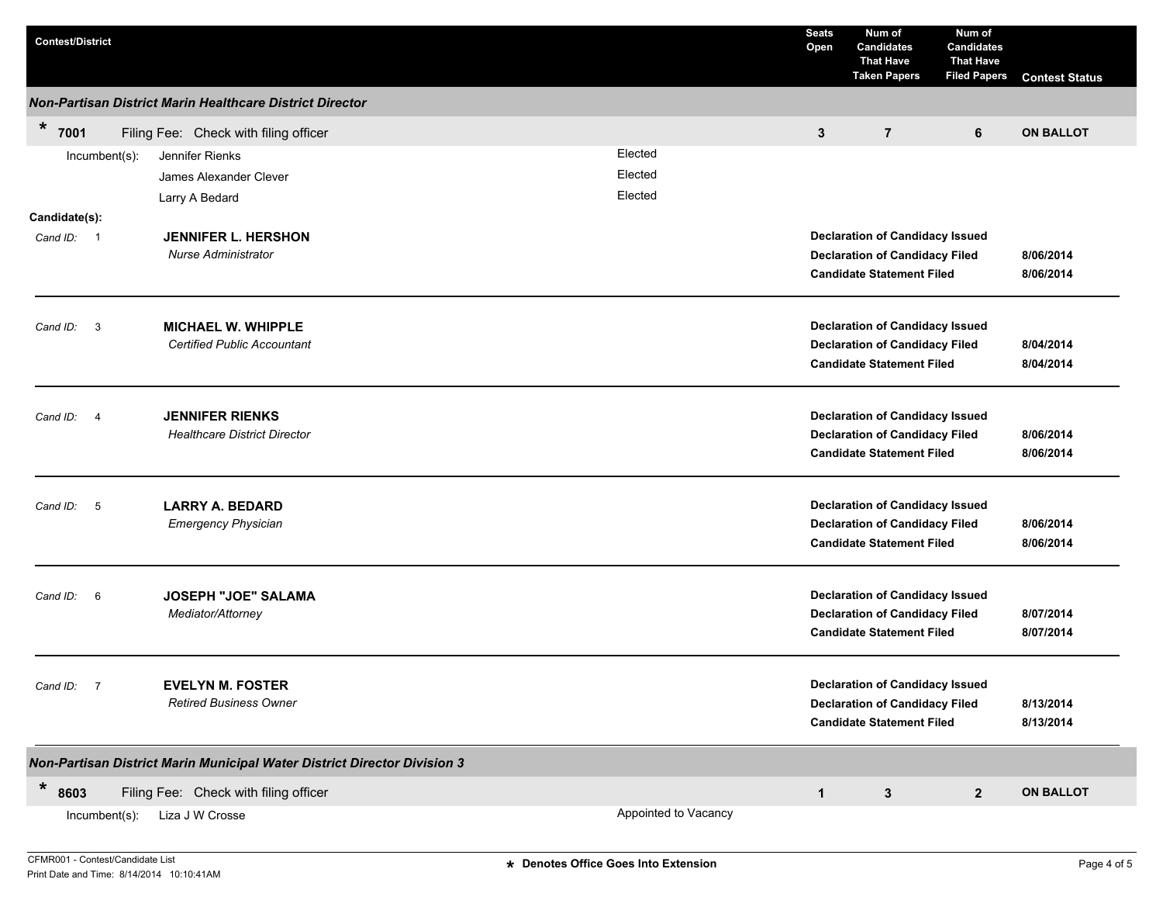| <b>Contest/District</b>                                                                     |                      | <b>Seats</b><br>Open | Num of<br><b>Candidates</b><br><b>That Have</b><br><b>Taken Papers</b>                                              | Num of<br><b>Candidates</b><br><b>That Have</b><br><b>Filed Papers</b> | <b>Contest Status</b>  |
|---------------------------------------------------------------------------------------------|----------------------|----------------------|---------------------------------------------------------------------------------------------------------------------|------------------------------------------------------------------------|------------------------|
| Non-Partisan District Marin Healthcare District Director                                    |                      |                      |                                                                                                                     |                                                                        |                        |
| $\star$<br>7001<br>Filing Fee: Check with filing officer                                    |                      | 3                    | $\overline{7}$                                                                                                      | 6                                                                      | <b>ON BALLOT</b>       |
| Jennifer Rienks<br>Incumbent(s):                                                            | Elected              |                      |                                                                                                                     |                                                                        |                        |
| James Alexander Clever                                                                      | Elected              |                      |                                                                                                                     |                                                                        |                        |
| Larry A Bedard                                                                              | Elected              |                      |                                                                                                                     |                                                                        |                        |
| Candidate(s):<br><b>JENNIFER L. HERSHON</b><br>Cand ID: 1<br>Nurse Administrator            |                      |                      | <b>Declaration of Candidacy Issued</b><br><b>Declaration of Candidacy Filed</b><br><b>Candidate Statement Filed</b> |                                                                        | 8/06/2014<br>8/06/2014 |
| <b>MICHAEL W. WHIPPLE</b><br>Cand ID: 3<br><b>Certified Public Accountant</b>               |                      |                      | <b>Declaration of Candidacy Issued</b><br><b>Declaration of Candidacy Filed</b><br><b>Candidate Statement Filed</b> |                                                                        | 8/04/2014<br>8/04/2014 |
| <b>JENNIFER RIENKS</b><br>$\overline{4}$<br>Cand ID:<br><b>Healthcare District Director</b> |                      |                      | <b>Declaration of Candidacy Issued</b><br><b>Declaration of Candidacy Filed</b><br><b>Candidate Statement Filed</b> |                                                                        | 8/06/2014<br>8/06/2014 |
| <b>LARRY A. BEDARD</b><br>$-5$<br>Cand ID:<br><b>Emergency Physician</b>                    |                      |                      | <b>Declaration of Candidacy Issued</b><br><b>Declaration of Candidacy Filed</b><br><b>Candidate Statement Filed</b> |                                                                        | 8/06/2014<br>8/06/2014 |
| <b>JOSEPH "JOE" SALAMA</b><br>Cand ID: 6<br>Mediator/Attorney                               |                      |                      | <b>Declaration of Candidacy Issued</b><br><b>Declaration of Candidacy Filed</b><br><b>Candidate Statement Filed</b> |                                                                        | 8/07/2014<br>8/07/2014 |
| Cand ID: 7<br><b>EVELYN M. FOSTER</b><br><b>Retired Business Owner</b>                      |                      |                      | <b>Declaration of Candidacy Issued</b><br><b>Declaration of Candidacy Filed</b><br><b>Candidate Statement Filed</b> |                                                                        | 8/13/2014<br>8/13/2014 |
| Non-Partisan District Marin Municipal Water District Director Division 3                    |                      |                      |                                                                                                                     |                                                                        |                        |
| *<br>8603<br>Filing Fee: Check with filing officer                                          |                      | $\mathbf{1}$         | 3                                                                                                                   | $\mathbf{2}$                                                           | <b>ON BALLOT</b>       |
| Liza J W Crosse<br>$Incumbent(s)$ :                                                         | Appointed to Vacancy |                      |                                                                                                                     |                                                                        |                        |